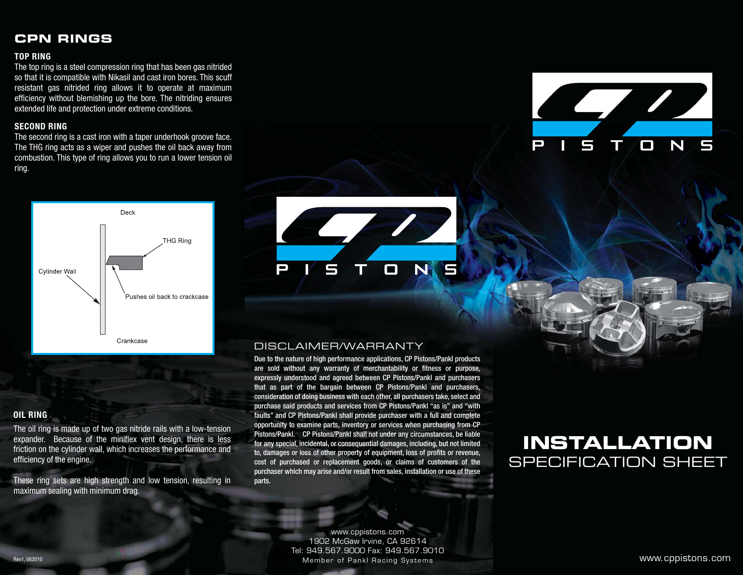### **CPN RINGS**

#### **TOP RING**

The top ring is a steel compression ring that has been gas nitrided so that it is compatible with Nikasil and cast iron bores. This scuff resistant gas nitrided ring allows it to operate at maximum efficiency without blemishing up the bore. The nitriding ensures extended life and protection under extreme conditions.

#### **SECOND RING**

The second ring is a cast iron with a taper underhook groove face. The THG ring acts as a wiper and pushes the oil back away from combustion. This type of ring allows you to run a lower tension oil ring.





#### **OIL RING**

The oil ring is made up of two gas nitride rails with a low-tension expander. Because of the miniflex vent design, there is less friction on the cylinder wall, which increases the performance and efficiency of the engine.

These ring sets are high strength and low tension, resulting in maximum sealing with minimum drag.



### DISCLAIMER/WARRANTY

Due to the nature of high performance applications, CP Pistons/Pankl products are sold without any warranty of merchantability or fitness or purpose, expressly understood and agreed between CP Pistons/Pankl and purchasers that as part of the bargain between CP Pistons/Pankl and purchasers, consideration of doing business with each other, all purchasers take, select and purchase said products and services from CP Pistons/Pankl "as is" and "with faults" and CP Pistons/Pankl shall provide purchaser with a full and complete opportunity to examine parts, inventory or services when purchasing from CP Pistons/Pankl. CP Pistons/Pankl shall not under any circumstances, be liable for any special, incidental, or consequential damages, including, but not limited to, damages or loss of other property of equipment, loss of profits or revenue, cost of purchased or replacement goods, or claims of customers of the purchaser which may arise and/or result from sales, installation or use of these parts.

# **INSTALLATION** SPECIFICATION SHEET

www.cppistons.com<br>1902 McGaw Irvine, CA 92614 Tel: 949.567.9000 Fax: 949.567.9010 Tel: 949.567.900.567.900.567.900.567.900.567.900.567.900.567.900.567.9010.567.9010.567.9010.567.9010 Member of Pankl Racing Systems